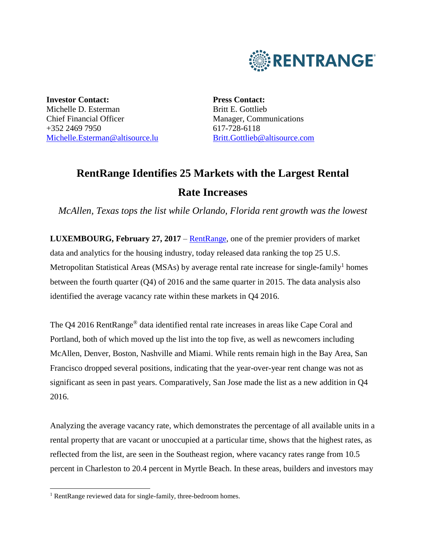

**Investor Contact:** Michelle D. Esterman Chief Financial Officer +352 2469 7950 [Michelle.Esterman@altisource.lu](mailto:Michelle.Esterman@altisource.lu)

**Press Contact:** Britt E. Gottlieb Manager, Communications 617-728-6118 [Britt.Gottlieb@altisource.com](mailto:Nicole.Messier@altisource.com)

# **RentRange Identifies 25 Markets with the Largest Rental Rate Increases**

*McAllen, Texas tops the list while Orlando, Florida rent growth was the lowest*

**LUXEMBOURG, February 27, 2017** – [RentRange,](https://www.rentrange.com/home/?utm_campaign=RRdataQ42016&utm_source=PR&utm_medium=PR&utm_content=lead_link) one of the premier providers of market data and analytics for the housing industry, today released data ranking the top 25 U.S. Metropolitan Statistical Areas (MSAs) by average rental rate increase for single-family<sup>1</sup> homes between the fourth quarter (Q4) of 2016 and the same quarter in 2015. The data analysis also identified the average vacancy rate within these markets in Q4 2016.

The Q4 2016 RentRange® data identified rental rate increases in areas like Cape Coral and Portland, both of which moved up the list into the top five, as well as newcomers including McAllen, Denver, Boston, Nashville and Miami. While rents remain high in the Bay Area, San Francisco dropped several positions, indicating that the year-over-year rent change was not as significant as seen in past years. Comparatively, San Jose made the list as a new addition in Q4 2016.

Analyzing the average vacancy rate, which demonstrates the percentage of all available units in a rental property that are vacant or unoccupied at a particular time, shows that the highest rates, as reflected from the list, are seen in the Southeast region, where vacancy rates range from 10.5 percent in Charleston to 20.4 percent in Myrtle Beach. In these areas, builders and investors may

l

<sup>&</sup>lt;sup>1</sup> RentRange reviewed data for single-family, three-bedroom homes.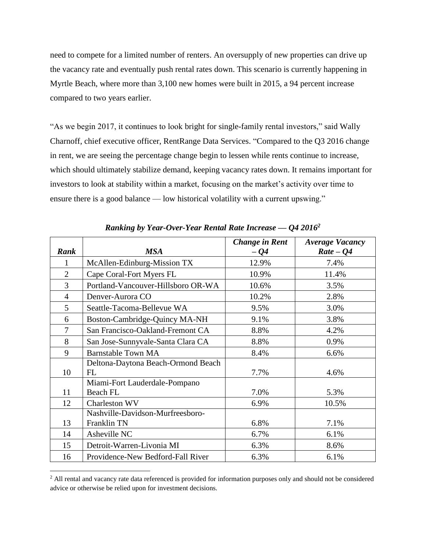need to compete for a limited number of renters. An oversupply of new properties can drive up the vacancy rate and eventually push rental rates down. This scenario is currently happening in Myrtle Beach, where more than 3,100 new homes were built in 2015, a 94 percent increase compared to two years earlier.

"As we begin 2017, it continues to look bright for single-family rental investors," said Wally Charnoff, chief executive officer, RentRange Data Services. "Compared to the Q3 2016 change in rent, we are seeing the percentage change begin to lessen while rents continue to increase, which should ultimately stabilize demand, keeping vacancy rates down. It remains important for investors to look at stability within a market, focusing on the market's activity over time to ensure there is a good balance — low historical volatility with a current upswing."

| <b>Rank</b>    | <b>MSA</b>                               | <b>Change in Rent</b><br>$-Q4$ | <b>Average Vacancy</b><br>$Rate - Q4$ |
|----------------|------------------------------------------|--------------------------------|---------------------------------------|
|                | McAllen-Edinburg-Mission TX              | 12.9%                          | 7.4%                                  |
| $\overline{2}$ | Cape Coral-Fort Myers FL                 | 10.9%                          | 11.4%                                 |
| $\overline{3}$ | Portland-Vancouver-Hillsboro OR-WA       | 10.6%                          | 3.5%                                  |
| $\overline{4}$ | Denver-Aurora CO                         | 10.2%                          | 2.8%                                  |
| 5              | Seattle-Tacoma-Bellevue WA               | 9.5%                           | 3.0%                                  |
| 6              | Boston-Cambridge-Quincy MA-NH            | 9.1%                           | 3.8%                                  |
| $\tau$         | San Francisco-Oakland-Fremont CA         | 8.8%                           | 4.2%                                  |
| 8              | San Jose-Sunnyvale-Santa Clara CA        | 8.8%                           | 0.9%                                  |
| 9              | <b>Barnstable Town MA</b>                | 8.4%                           | 6.6%                                  |
| 10             | Deltona-Daytona Beach-Ormond Beach<br>FL | 7.7%                           | 4.6%                                  |
|                | Miami-Fort Lauderdale-Pompano            |                                |                                       |
| 11             | <b>Beach FL</b>                          | 7.0%                           | 5.3%                                  |
| 12             | Charleston WV                            | 6.9%                           | 10.5%                                 |
|                | Nashville-Davidson-Murfreesboro-         |                                |                                       |
| 13             | Franklin TN                              | 6.8%                           | 7.1%                                  |
| 14             | Asheville NC                             | 6.7%                           | 6.1%                                  |
| 15             | Detroit-Warren-Livonia MI                | 6.3%                           | 8.6%                                  |
| 16             | Providence-New Bedford-Fall River        | 6.3%                           | 6.1%                                  |

*Ranking by Year-Over-Year Rental Rate Increase — Q4 2016<sup>2</sup>*

l

<sup>&</sup>lt;sup>2</sup> All rental and vacancy rate data referenced is provided for information purposes only and should not be considered advice or otherwise be relied upon for investment decisions.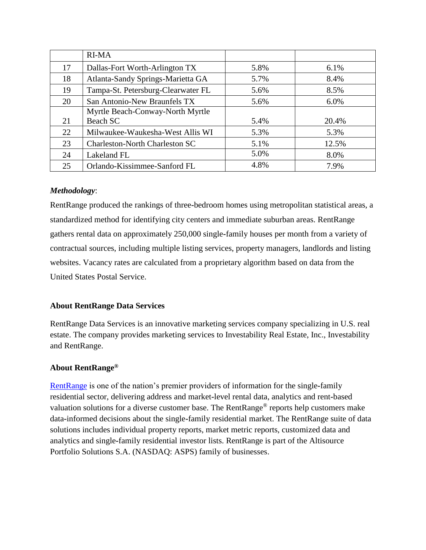|    | <b>RI-MA</b>                          |      |       |
|----|---------------------------------------|------|-------|
| 17 | Dallas-Fort Worth-Arlington TX        | 5.8% | 6.1%  |
| 18 | Atlanta-Sandy Springs-Marietta GA     | 5.7% | 8.4%  |
| 19 | Tampa-St. Petersburg-Clearwater FL    | 5.6% | 8.5%  |
| 20 | San Antonio-New Braunfels TX          | 5.6% | 6.0%  |
|    | Myrtle Beach-Conway-North Myrtle      |      |       |
| 21 | Beach SC                              | 5.4% | 20.4% |
| 22 | Milwaukee-Waukesha-West Allis WI      | 5.3% | 5.3%  |
| 23 | <b>Charleston-North Charleston SC</b> | 5.1% | 12.5% |
| 24 | Lakeland FL                           | 5.0% | 8.0%  |
| 25 | Orlando-Kissimmee-Sanford FL          | 4.8% | 7.9%  |

## *Methodology*:

RentRange produced the rankings of three**-**bedroom homes using metropolitan statistical areas, a standardized method for identifying city centers and immediate suburban areas. RentRange gathers rental data on approximately 250,000 single**-**family houses per month from a variety of contractual sources, including multiple listing services, property managers, landlords and listing websites. Vacancy rates are calculated from a proprietary algorithm based on data from the United States Postal Service.

## **About RentRange Data Services**

RentRange Data Services is an innovative marketing services company specializing in U.S. real estate. The company provides marketing services to Investability Real Estate, Inc., Investability and RentRange.

## **About RentRange®**

[RentRange](https://www.rentrange.com/home/?utm_campaign=RRdataQ42016&utm_source=PR&utm_medium=PR&utm_content=boilerplate_link) is one of the nation's premier providers of information for the single**-**family residential sector, delivering address and market**-**level rental data, analytics and rent**-**based valuation solutions for a diverse customer base. The RentRange® reports help customers make data**-**informed decisions about the single**-**family residential market. The RentRange suite of data solutions includes individual property reports, market metric reports, customized data and analytics and single**-**family residential investor lists. RentRange is part of the Altisource Portfolio Solutions S.A. (NASDAQ: ASPS) family of businesses.